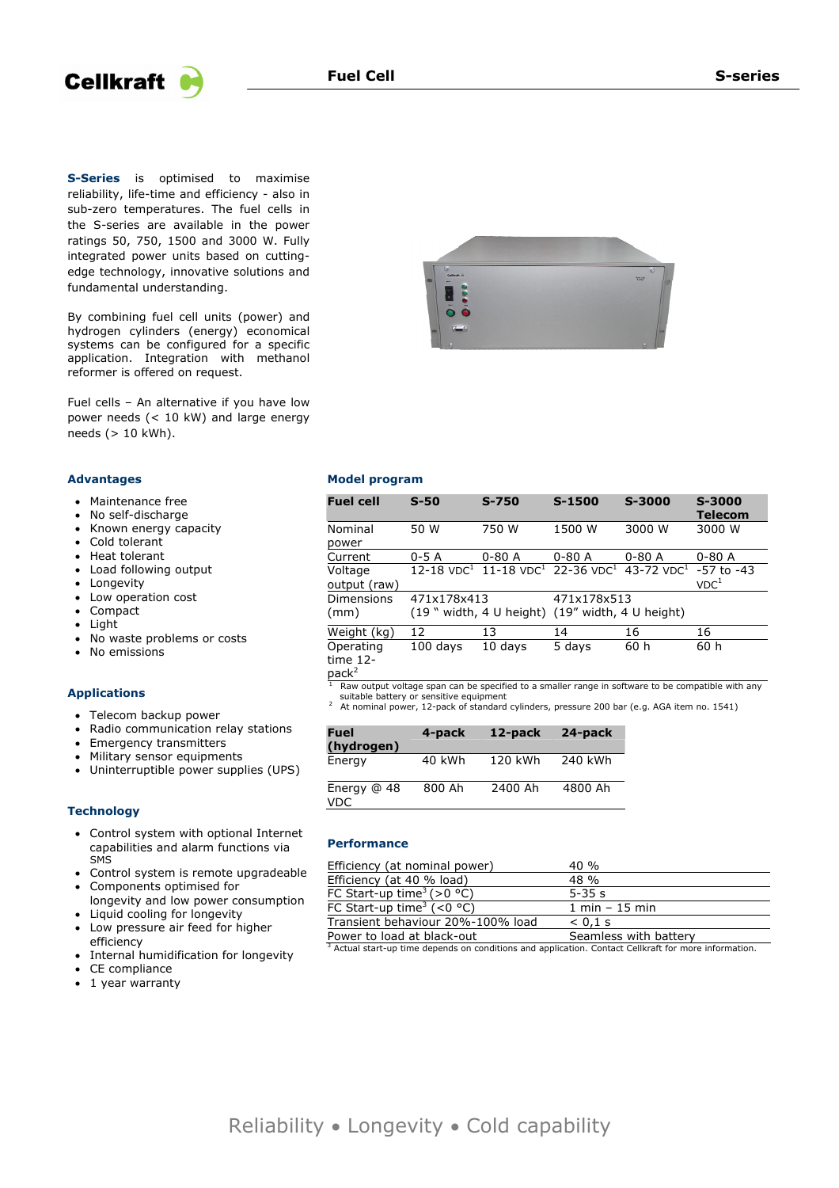



**S-Series** is optimised to maximise reliability, life-time and efficiency - also in sub-zero temperatures. The fuel cells in the S-series are available in the power ratings 50, 750, 1500 and 3000 W. Fully integrated power units based on cuttingedge technology, innovative solutions and fundamental understanding.

By combining fuel cell units (power) and hydrogen cylinders (energy) economical systems can be configured for a specific application. Integration with methanol reformer is offered on request.

Fuel cells – An alternative if you have low power needs (< 10 kW) and large energy needs (> 10 kWh).

## **Advantages**

- Maintenance free
- No self-discharge
- Known energy capacity
- Cold tolerant
- Heat tolerant
- Load following output
- Longevity
- Low operation cost
- Compact
- Light
- No waste problems or costs
- No emissions

#### **Applications**

- Telecom backup power
- Radio communication relay stations
- Emergency transmitters
- Military sensor equipments
- Uninterruptible power supplies (UPS)

#### **Technology**

- Control system with optional Internet capabilities and alarm functions via SMS
- Control system is remote upgradeable
- Components optimised for longevity and low power consumption
- Liquid cooling for longevity
- Low pressure air feed for higher efficiency
- Internal humidification for longevity
- CE compliance
- 1 year warranty



# **Model program**

| <b>Fuel cell</b>        | $S-50$                                            | $S - 750$                                                                                   | S-1500                                   | S-3000     | S-3000<br><b>Telecom</b>           |
|-------------------------|---------------------------------------------------|---------------------------------------------------------------------------------------------|------------------------------------------|------------|------------------------------------|
| Nominal<br>power        | 50 W                                              | 750 W                                                                                       | 1500 W                                   | 3000 W     | 3000 W                             |
| Current                 | $0-5A$                                            | $0 - 80A$                                                                                   | $0 - 80$ A                               | $0 - 80$ A | $0 - 80$ A                         |
| Voltage<br>output (raw) |                                                   | 12-18 VDC <sup>1</sup> 11-18 VDC <sup>1</sup> 22-36 VDC <sup>1</sup> 43-72 VDC <sup>1</sup> |                                          |            | $-57$ to $-43$<br>VDC <sup>1</sup> |
| Dimensions<br>(mm)      | 471x178x413<br>$(19$ $\degree$ width, 4 U height) |                                                                                             | 471x178x513<br>$(19"$ width, 4 U height) |            |                                    |
| Weight (kg)             | 12                                                | 13                                                                                          | 14                                       | 16         | 16                                 |
| Operating<br>time 12-   | $100$ days                                        | 10 days                                                                                     | 5 days                                   | 60 h       | 60 h                               |

 $pack<sup>2</sup>$ 

-<br>1 Raw output voltage span can be specified to a smaller range in software to be compatible with any<br>suitable battery or sensitive equipment

suitable battery or sensitive equipment 2 At nominal power, 12-pack of standard cylinders, pressure 200 bar (e.g. AGA item no. 1541)

| <b>Fuel</b><br>(hydrogen)   | 4-pack | 12-pack | 24-pack |
|-----------------------------|--------|---------|---------|
| Energy                      | 40 kWh | 120 kWh | 240 kWh |
| Energy $@$ 48<br><b>VDC</b> | 800 Ah | 2400 Ah | 4800 Ah |

## **Performance**

| Efficiency (at nominal power)                   | $40 \%$                          |
|-------------------------------------------------|----------------------------------|
| Efficiency (at 40 % load)                       | $48 \%$                          |
| FC Start-up time <sup>3</sup> (>0 °C)           | $5 - 35s$                        |
| FC Start-up time <sup>3</sup> (<0 $^{\circ}$ C) | $1 \text{ min} - 15 \text{ min}$ |
| Transient behaviour 20%-100% load               | $< 0.1$ s                        |
| Power to load at black-out                      | Seamless with battery            |

 $\frac{3}{3}$  Actual start-up time depends on conditions and application. Contact Cellkraft for more information.